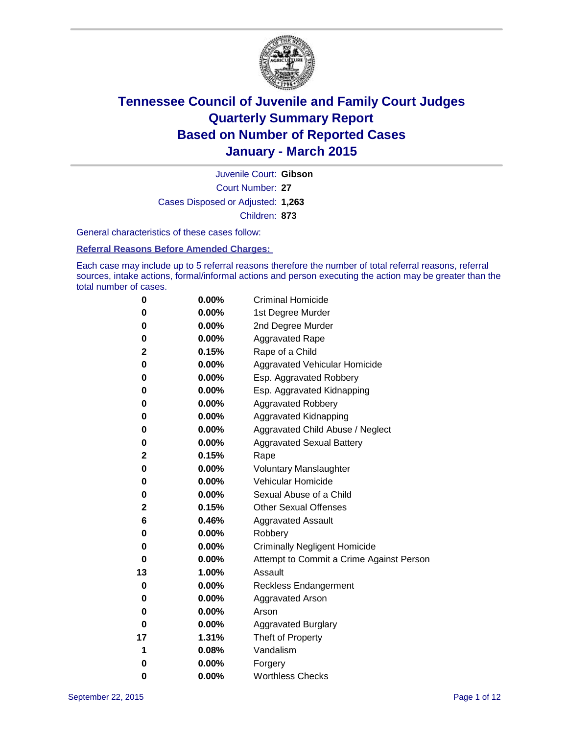

Court Number: **27** Juvenile Court: **Gibson** Cases Disposed or Adjusted: **1,263** Children: **873**

General characteristics of these cases follow:

#### **Referral Reasons Before Amended Charges:**

Each case may include up to 5 referral reasons therefore the number of total referral reasons, referral sources, intake actions, formal/informal actions and person executing the action may be greater than the total number of cases.

| 0  | 0.00%    | <b>Criminal Homicide</b>                 |
|----|----------|------------------------------------------|
| 0  | 0.00%    | 1st Degree Murder                        |
| 0  | 0.00%    | 2nd Degree Murder                        |
| 0  | $0.00\%$ | <b>Aggravated Rape</b>                   |
| 2  | 0.15%    | Rape of a Child                          |
| 0  | 0.00%    | Aggravated Vehicular Homicide            |
| 0  | 0.00%    | Esp. Aggravated Robbery                  |
| 0  | 0.00%    | Esp. Aggravated Kidnapping               |
| 0  | 0.00%    | <b>Aggravated Robbery</b>                |
| 0  | 0.00%    | <b>Aggravated Kidnapping</b>             |
| 0  | 0.00%    | Aggravated Child Abuse / Neglect         |
| 0  | 0.00%    | <b>Aggravated Sexual Battery</b>         |
| 2  | 0.15%    | Rape                                     |
| 0  | $0.00\%$ | <b>Voluntary Manslaughter</b>            |
| 0  | $0.00\%$ | <b>Vehicular Homicide</b>                |
| 0  | 0.00%    | Sexual Abuse of a Child                  |
| 2  | 0.15%    | <b>Other Sexual Offenses</b>             |
| 6  | 0.46%    | <b>Aggravated Assault</b>                |
| 0  | 0.00%    | Robbery                                  |
| 0  | 0.00%    | <b>Criminally Negligent Homicide</b>     |
| 0  | 0.00%    | Attempt to Commit a Crime Against Person |
| 13 | 1.00%    | Assault                                  |
| 0  | 0.00%    | <b>Reckless Endangerment</b>             |
| 0  | $0.00\%$ | <b>Aggravated Arson</b>                  |
| 0  | 0.00%    | Arson                                    |
| 0  | 0.00%    | <b>Aggravated Burglary</b>               |
| 17 | 1.31%    | Theft of Property                        |
| 1  | 0.08%    | Vandalism                                |
| 0  | 0.00%    | Forgery                                  |
| 0  | 0.00%    | <b>Worthless Checks</b>                  |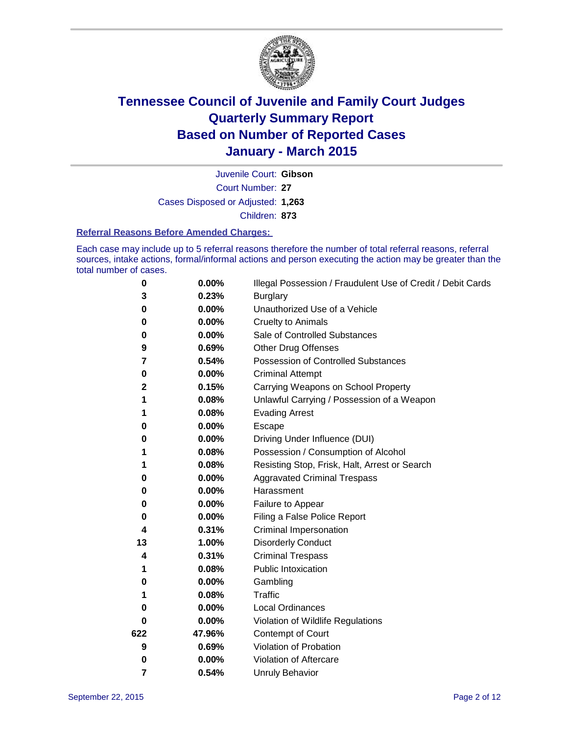

Court Number: **27** Juvenile Court: **Gibson** Cases Disposed or Adjusted: **1,263** Children: **873**

#### **Referral Reasons Before Amended Charges:**

Each case may include up to 5 referral reasons therefore the number of total referral reasons, referral sources, intake actions, formal/informal actions and person executing the action may be greater than the total number of cases.

| 0   | 0.00%    | Illegal Possession / Fraudulent Use of Credit / Debit Cards |
|-----|----------|-------------------------------------------------------------|
| 3   | 0.23%    | <b>Burglary</b>                                             |
| 0   | 0.00%    | Unauthorized Use of a Vehicle                               |
| 0   | 0.00%    | <b>Cruelty to Animals</b>                                   |
| 0   | 0.00%    | Sale of Controlled Substances                               |
| 9   | 0.69%    | <b>Other Drug Offenses</b>                                  |
| 7   | 0.54%    | Possession of Controlled Substances                         |
| 0   | 0.00%    | <b>Criminal Attempt</b>                                     |
| 2   | 0.15%    | Carrying Weapons on School Property                         |
| 1   | 0.08%    | Unlawful Carrying / Possession of a Weapon                  |
| 1   | 0.08%    | <b>Evading Arrest</b>                                       |
| 0   | 0.00%    | Escape                                                      |
| 0   | 0.00%    | Driving Under Influence (DUI)                               |
| 1   | 0.08%    | Possession / Consumption of Alcohol                         |
| 1   | 0.08%    | Resisting Stop, Frisk, Halt, Arrest or Search               |
| 0   | 0.00%    | <b>Aggravated Criminal Trespass</b>                         |
| 0   | 0.00%    | Harassment                                                  |
| 0   | 0.00%    | Failure to Appear                                           |
| 0   | 0.00%    | Filing a False Police Report                                |
| 4   | 0.31%    | Criminal Impersonation                                      |
| 13  | 1.00%    | <b>Disorderly Conduct</b>                                   |
| 4   | 0.31%    | <b>Criminal Trespass</b>                                    |
| 1   | 0.08%    | <b>Public Intoxication</b>                                  |
| 0   | 0.00%    | Gambling                                                    |
| 1   | 0.08%    | Traffic                                                     |
| 0   | 0.00%    | <b>Local Ordinances</b>                                     |
| 0   | $0.00\%$ | Violation of Wildlife Regulations                           |
| 622 | 47.96%   | Contempt of Court                                           |
| 9   | 0.69%    | Violation of Probation                                      |
| 0   | 0.00%    | Violation of Aftercare                                      |
| 7   | 0.54%    | <b>Unruly Behavior</b>                                      |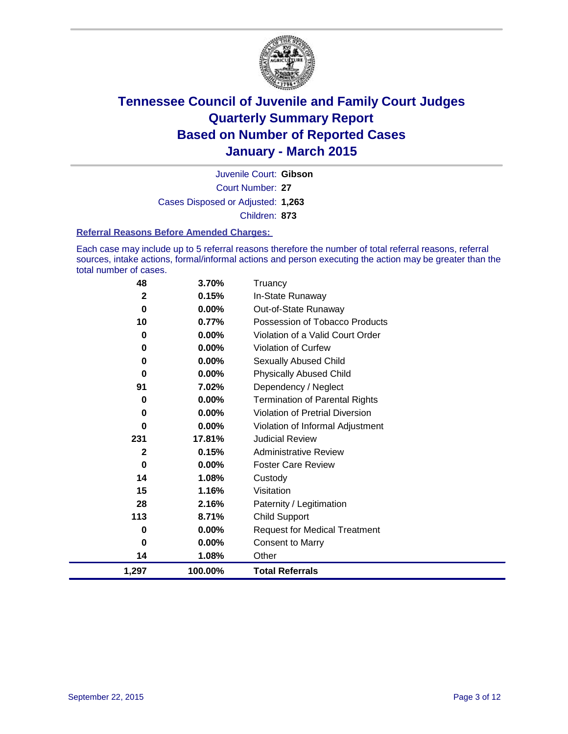

Court Number: **27** Juvenile Court: **Gibson** Cases Disposed or Adjusted: **1,263** Children: **873**

#### **Referral Reasons Before Amended Charges:**

Each case may include up to 5 referral reasons therefore the number of total referral reasons, referral sources, intake actions, formal/informal actions and person executing the action may be greater than the total number of cases.

| 48           | 3.70%    | Truancv                                |
|--------------|----------|----------------------------------------|
| $\mathbf{2}$ | 0.15%    | In-State Runaway                       |
| 0            | 0.00%    | Out-of-State Runaway                   |
| 10           | 0.77%    | Possession of Tobacco Products         |
| 0            | 0.00%    | Violation of a Valid Court Order       |
| 0            | 0.00%    | Violation of Curfew                    |
| 0            | 0.00%    | Sexually Abused Child                  |
| 0            | 0.00%    | <b>Physically Abused Child</b>         |
| 91           | 7.02%    | Dependency / Neglect                   |
| 0            | 0.00%    | <b>Termination of Parental Rights</b>  |
| 0            | 0.00%    | <b>Violation of Pretrial Diversion</b> |
| $\bf{0}$     | 0.00%    | Violation of Informal Adjustment       |
| 231          | 17.81%   | <b>Judicial Review</b>                 |
| $\mathbf{2}$ | 0.15%    | <b>Administrative Review</b>           |
| 0            | $0.00\%$ | <b>Foster Care Review</b>              |
| 14           | 1.08%    | Custody                                |
| 15           | 1.16%    | Visitation                             |
| 28           | 2.16%    | Paternity / Legitimation               |
| 113          | 8.71%    | <b>Child Support</b>                   |
| 0            | 0.00%    | <b>Request for Medical Treatment</b>   |
| $\bf{0}$     | 0.00%    | <b>Consent to Marry</b>                |
| 14           | 1.08%    | Other                                  |
| 1,297        | 100.00%  | <b>Total Referrals</b>                 |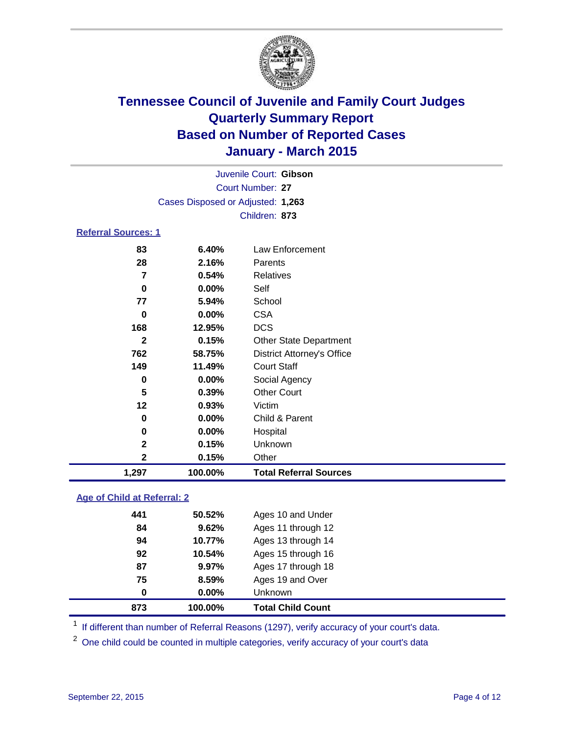

|                     |                                   | Juvenile Court: Gibson            |  |
|---------------------|-----------------------------------|-----------------------------------|--|
|                     |                                   | Court Number: 27                  |  |
|                     | Cases Disposed or Adjusted: 1,263 |                                   |  |
|                     |                                   | Children: 873                     |  |
| Referral Sources: 1 |                                   |                                   |  |
| 83                  | 6.40%                             | Law Enforcement                   |  |
| 28                  | 2.16%                             | Parents                           |  |
| 7                   | 0.54%                             | Relatives                         |  |
| 0                   | $0.00\%$                          | Self                              |  |
| 77                  | 5.94%                             | School                            |  |
| 0                   | $0.00\%$                          | <b>CSA</b>                        |  |
| 168                 | 12.95%                            | <b>DCS</b>                        |  |
| 2                   | 0.15%                             | <b>Other State Department</b>     |  |
| 762                 | 58.75%                            | <b>District Attorney's Office</b> |  |

| 2     | 0.15%<br>0.15% | Unknown<br>Other              |  |
|-------|----------------|-------------------------------|--|
| 1.297 | 100.00%        | <b>Total Referral Sources</b> |  |
|       |                |                               |  |

 **11.49%** Court Staff **0.00%** Social Agency **0.39%** Other Court

**0.00%** Hospital

**0.00%** Child & Parent

### **Age of Child at Referral: 2**

| 873 | 100.00% | <b>Total Child Count</b> |
|-----|---------|--------------------------|
| 0   | 0.00%   | <b>Unknown</b>           |
| 75  | 8.59%   | Ages 19 and Over         |
| 87  | 9.97%   | Ages 17 through 18       |
| 92  | 10.54%  | Ages 15 through 16       |
| 94  | 10.77%  | Ages 13 through 14       |
| 84  | 9.62%   | Ages 11 through 12       |
| 441 | 50.52%  | Ages 10 and Under        |

**0.93%** Victim

<sup>1</sup> If different than number of Referral Reasons (1297), verify accuracy of your court's data.

One child could be counted in multiple categories, verify accuracy of your court's data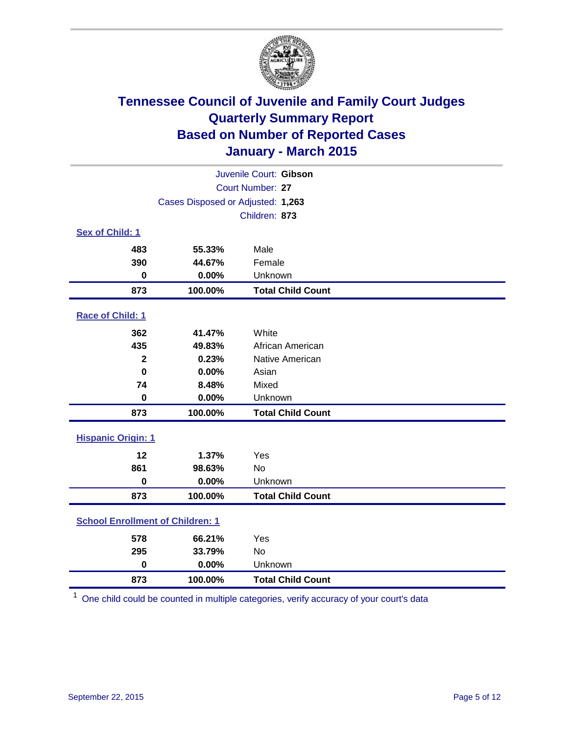

| Juvenile Court: Gibson                  |         |                          |  |
|-----------------------------------------|---------|--------------------------|--|
|                                         |         | Court Number: 27         |  |
| Cases Disposed or Adjusted: 1,263       |         |                          |  |
|                                         |         | Children: 873            |  |
| Sex of Child: 1                         |         |                          |  |
| 483                                     | 55.33%  | Male                     |  |
| 390                                     | 44.67%  | Female                   |  |
| $\bf{0}$                                | 0.00%   | Unknown                  |  |
| 873                                     | 100.00% | <b>Total Child Count</b> |  |
| Race of Child: 1                        |         |                          |  |
| 362                                     | 41.47%  | White                    |  |
| 435                                     | 49.83%  | African American         |  |
| $\mathbf{2}$                            | 0.23%   | Native American          |  |
| $\bf{0}$                                | 0.00%   | Asian                    |  |
| 74                                      | 8.48%   | Mixed                    |  |
| $\mathbf 0$                             | 0.00%   | Unknown                  |  |
| 873                                     | 100.00% | <b>Total Child Count</b> |  |
| <b>Hispanic Origin: 1</b>               |         |                          |  |
| 12                                      | 1.37%   | Yes                      |  |
| 861                                     | 98.63%  | <b>No</b>                |  |
| $\mathbf 0$                             | 0.00%   | Unknown                  |  |
| 873                                     | 100.00% | <b>Total Child Count</b> |  |
| <b>School Enrollment of Children: 1</b> |         |                          |  |
| 578                                     | 66.21%  | Yes                      |  |
| 295                                     | 33.79%  | <b>No</b>                |  |
| $\mathbf 0$                             | 0.00%   | Unknown                  |  |
| 873                                     | 100.00% | <b>Total Child Count</b> |  |

One child could be counted in multiple categories, verify accuracy of your court's data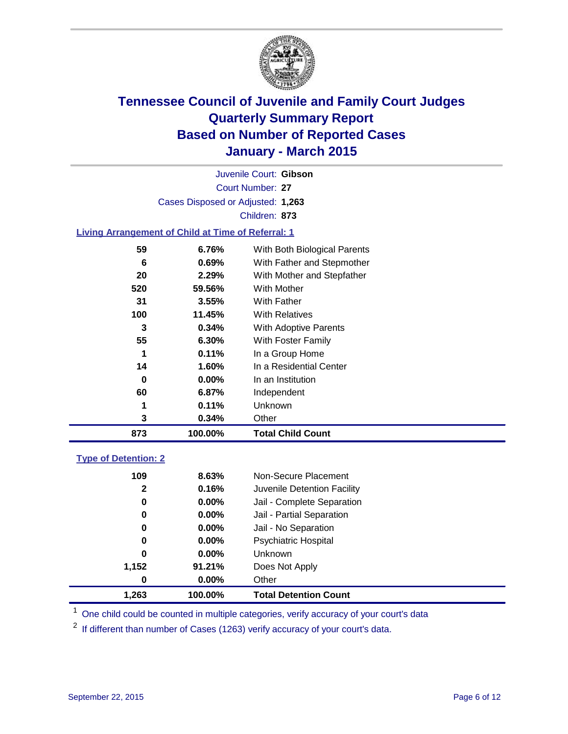

Court Number: **27** Juvenile Court: **Gibson** Cases Disposed or Adjusted: **1,263** Children: **873**

### **Living Arrangement of Child at Time of Referral: 1**

| 873 | 100.00%  | <b>Total Child Count</b>     |
|-----|----------|------------------------------|
| 3   | 0.34%    | Other                        |
| 1   | 0.11%    | Unknown                      |
| 60  | $6.87\%$ | Independent                  |
| 0   | $0.00\%$ | In an Institution            |
| 14  | 1.60%    | In a Residential Center      |
| 1   | 0.11%    | In a Group Home              |
| 55  | $6.30\%$ | With Foster Family           |
| 3   | 0.34%    | With Adoptive Parents        |
| 100 | 11.45%   | <b>With Relatives</b>        |
| 31  | 3.55%    | With Father                  |
| 520 | 59.56%   | <b>With Mother</b>           |
| 20  | $2.29\%$ | With Mother and Stepfather   |
| 6   | 0.69%    | With Father and Stepmother   |
| 59  | 6.76%    | With Both Biological Parents |
|     |          |                              |

### **Type of Detention: 2**

| 0     | $0.00\%$ | Other                       |  |
|-------|----------|-----------------------------|--|
| 1,152 | 91.21%   | Does Not Apply              |  |
| 0     | $0.00\%$ | <b>Unknown</b>              |  |
| 0     | $0.00\%$ | Psychiatric Hospital        |  |
| 0     | $0.00\%$ | Jail - No Separation        |  |
| 0     | $0.00\%$ | Jail - Partial Separation   |  |
| 0     | $0.00\%$ | Jail - Complete Separation  |  |
| 2     | 0.16%    | Juvenile Detention Facility |  |
| 109   | 8.63%    | Non-Secure Placement        |  |
|       |          |                             |  |

<sup>1</sup> One child could be counted in multiple categories, verify accuracy of your court's data

If different than number of Cases (1263) verify accuracy of your court's data.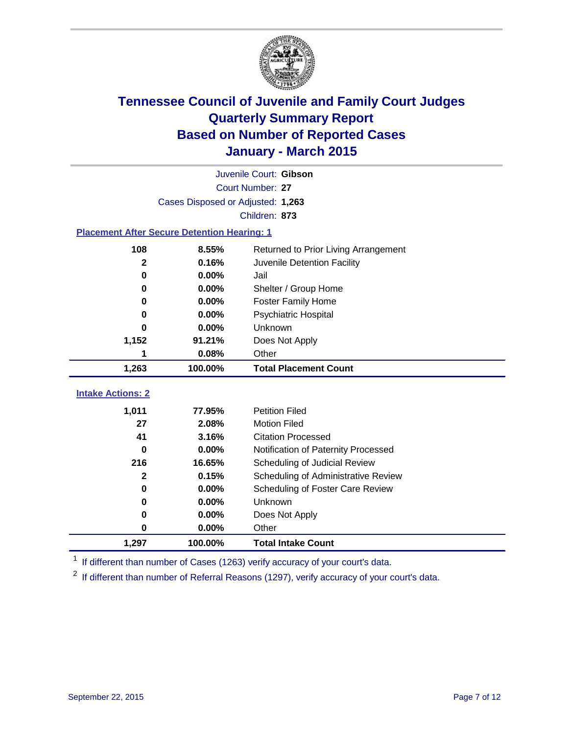

|                                                    | Juvenile Court: Gibson                        |                                     |  |  |  |
|----------------------------------------------------|-----------------------------------------------|-------------------------------------|--|--|--|
|                                                    | Court Number: 27                              |                                     |  |  |  |
|                                                    | Cases Disposed or Adjusted: 1,263             |                                     |  |  |  |
|                                                    |                                               | Children: 873                       |  |  |  |
| <b>Placement After Secure Detention Hearing: 1</b> |                                               |                                     |  |  |  |
| 108                                                | 8.55%<br>Returned to Prior Living Arrangement |                                     |  |  |  |
| $\mathbf{2}$                                       | 0.16%                                         | Juvenile Detention Facility         |  |  |  |
| 0                                                  | 0.00%                                         | Jail                                |  |  |  |
| 0                                                  | 0.00%                                         | Shelter / Group Home                |  |  |  |
| 0                                                  | 0.00%                                         | <b>Foster Family Home</b>           |  |  |  |
| 0                                                  | 0.00%                                         | <b>Psychiatric Hospital</b>         |  |  |  |
| 0.00%<br>0<br>1,152<br>91.21%                      |                                               | Unknown                             |  |  |  |
|                                                    |                                               | Does Not Apply                      |  |  |  |
| 0.08%<br>Other<br>1                                |                                               |                                     |  |  |  |
| 1,263                                              | 100.00%                                       | <b>Total Placement Count</b>        |  |  |  |
| <b>Intake Actions: 2</b>                           |                                               |                                     |  |  |  |
| 1,011                                              | 77.95%                                        | <b>Petition Filed</b>               |  |  |  |
| 27                                                 | 2.08%                                         | <b>Motion Filed</b>                 |  |  |  |
| 41                                                 | 3.16%                                         | <b>Citation Processed</b>           |  |  |  |
| $\bf{0}$                                           | 0.00%                                         | Notification of Paternity Processed |  |  |  |
| 216                                                | 16.65%                                        | Scheduling of Judicial Review       |  |  |  |
| $\mathbf{2}$                                       | 0.15%                                         | Scheduling of Administrative Review |  |  |  |
| 0                                                  | 0.00%                                         | Scheduling of Foster Care Review    |  |  |  |
| 0                                                  | 0.00%                                         | Unknown                             |  |  |  |
| 0                                                  | 0.00%                                         | Does Not Apply                      |  |  |  |
| 0                                                  | 0.00%                                         | Other                               |  |  |  |

<sup>1</sup> If different than number of Cases (1263) verify accuracy of your court's data.

**1,297 100.00% Total Intake Count**

 $2$  If different than number of Referral Reasons (1297), verify accuracy of your court's data.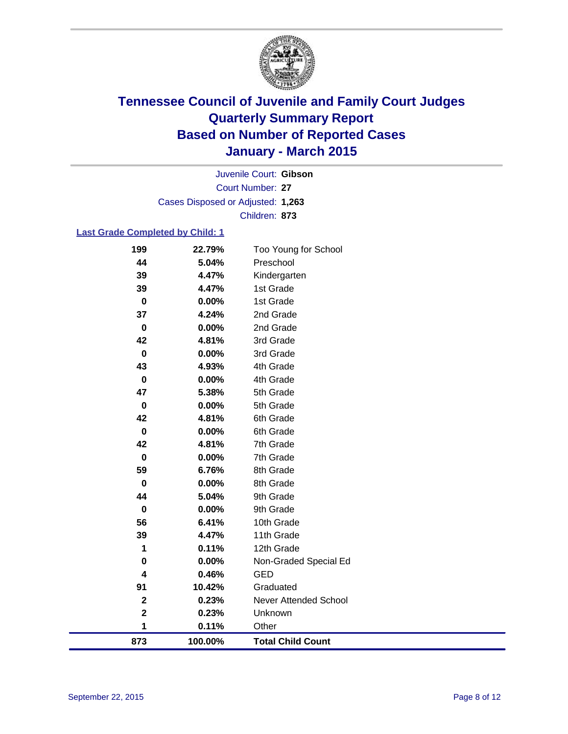

Court Number: **27** Juvenile Court: **Gibson** Cases Disposed or Adjusted: **1,263** Children: **873**

### **Last Grade Completed by Child: 1**

| 199         | 22.79%  | Too Young for School     |
|-------------|---------|--------------------------|
| 44          | 5.04%   | Preschool                |
| 39          | 4.47%   | Kindergarten             |
| 39          | 4.47%   | 1st Grade                |
| $\bf{0}$    | 0.00%   | 1st Grade                |
| 37          | 4.24%   | 2nd Grade                |
| $\mathbf 0$ | 0.00%   | 2nd Grade                |
| 42          | 4.81%   | 3rd Grade                |
| $\bf{0}$    | 0.00%   | 3rd Grade                |
| 43          | 4.93%   | 4th Grade                |
| 0           | 0.00%   | 4th Grade                |
| 47          | 5.38%   | 5th Grade                |
| $\mathbf 0$ | 0.00%   | 5th Grade                |
| 42          | 4.81%   | 6th Grade                |
| $\bf{0}$    | 0.00%   | 6th Grade                |
| 42          | 4.81%   | 7th Grade                |
| $\mathbf 0$ | 0.00%   | 7th Grade                |
| 59          | 6.76%   | 8th Grade                |
| 0           | 0.00%   | 8th Grade                |
| 44          | 5.04%   | 9th Grade                |
| 0           | 0.00%   | 9th Grade                |
| 56          | 6.41%   | 10th Grade               |
| 39          | 4.47%   | 11th Grade               |
| 1           | 0.11%   | 12th Grade               |
| $\bf{0}$    | 0.00%   | Non-Graded Special Ed    |
| 4           | 0.46%   | <b>GED</b>               |
| 91          | 10.42%  | Graduated                |
| $\mathbf 2$ | 0.23%   | Never Attended School    |
| $\mathbf 2$ | 0.23%   | Unknown                  |
| 1           | 0.11%   | Other                    |
| 873         | 100.00% | <b>Total Child Count</b> |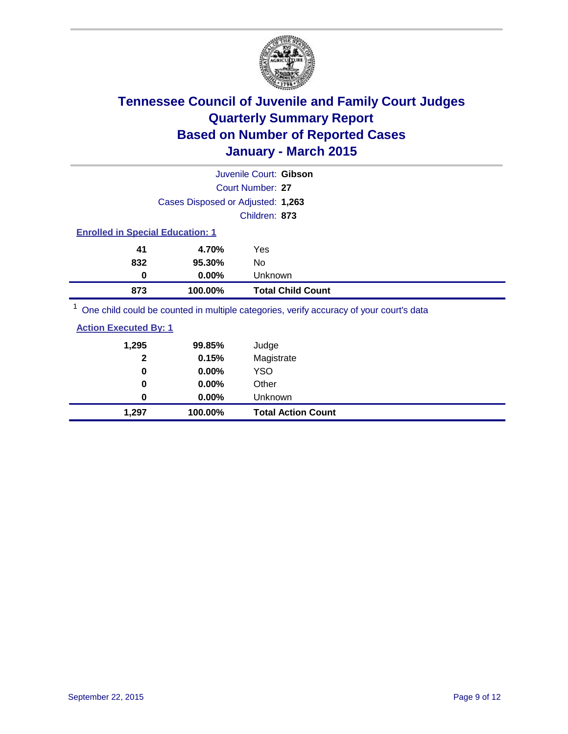

|                                         |                                   | Juvenile Court: Gibson                                                                  |  |  |  |  |
|-----------------------------------------|-----------------------------------|-----------------------------------------------------------------------------------------|--|--|--|--|
| Court Number: 27                        |                                   |                                                                                         |  |  |  |  |
|                                         | Cases Disposed or Adjusted: 1,263 |                                                                                         |  |  |  |  |
|                                         |                                   | Children: 873                                                                           |  |  |  |  |
| <b>Enrolled in Special Education: 1</b> |                                   |                                                                                         |  |  |  |  |
| 41                                      | 4.70%                             | Yes                                                                                     |  |  |  |  |
| 832                                     | 95.30%                            | No.                                                                                     |  |  |  |  |
| 0                                       | $0.00\%$                          | Unknown                                                                                 |  |  |  |  |
| 873                                     | 100.00%                           | <b>Total Child Count</b>                                                                |  |  |  |  |
|                                         |                                   | One child could be counted in multiple categories, verify accuracy of your court's data |  |  |  |  |

| 1,297                        | 100.00%  | <b>Total Action Count</b> |  |
|------------------------------|----------|---------------------------|--|
| 0                            | $0.00\%$ | Unknown                   |  |
| $\bf{0}$                     | 0.00%    | Other                     |  |
| 0                            | 0.00%    | YSO                       |  |
| $\mathbf{2}$                 | 0.15%    | Magistrate                |  |
| 1,295                        | 99.85%   | Judge                     |  |
| <b>Action Executed By: 1</b> |          |                           |  |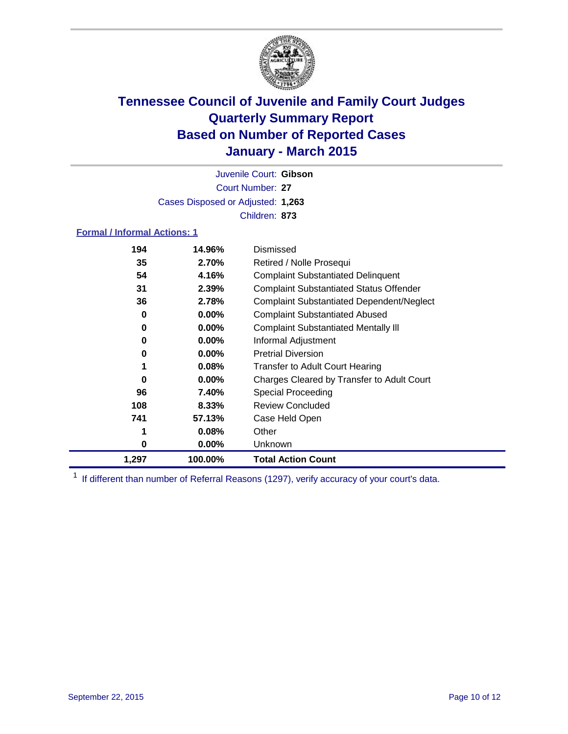

Court Number: **27** Juvenile Court: **Gibson** Cases Disposed or Adjusted: **1,263** Children: **873**

### **Formal / Informal Actions: 1**

| 194   | 14.96%   | Dismissed                                        |
|-------|----------|--------------------------------------------------|
| 35    | 2.70%    | Retired / Nolle Prosequi                         |
| 54    | 4.16%    | <b>Complaint Substantiated Delinquent</b>        |
| 31    | 2.39%    | <b>Complaint Substantiated Status Offender</b>   |
| 36    | 2.78%    | <b>Complaint Substantiated Dependent/Neglect</b> |
| 0     | $0.00\%$ | <b>Complaint Substantiated Abused</b>            |
| 0     | $0.00\%$ | <b>Complaint Substantiated Mentally III</b>      |
| 0     | $0.00\%$ | Informal Adjustment                              |
| 0     | $0.00\%$ | <b>Pretrial Diversion</b>                        |
|       | 0.08%    | <b>Transfer to Adult Court Hearing</b>           |
| 0     | $0.00\%$ | Charges Cleared by Transfer to Adult Court       |
| 96    | 7.40%    | Special Proceeding                               |
| 108   | 8.33%    | <b>Review Concluded</b>                          |
| 741   | 57.13%   | Case Held Open                                   |
|       | 0.08%    | Other                                            |
| 0     | $0.00\%$ | <b>Unknown</b>                                   |
| 1,297 | 100.00%  | <b>Total Action Count</b>                        |

<sup>1</sup> If different than number of Referral Reasons (1297), verify accuracy of your court's data.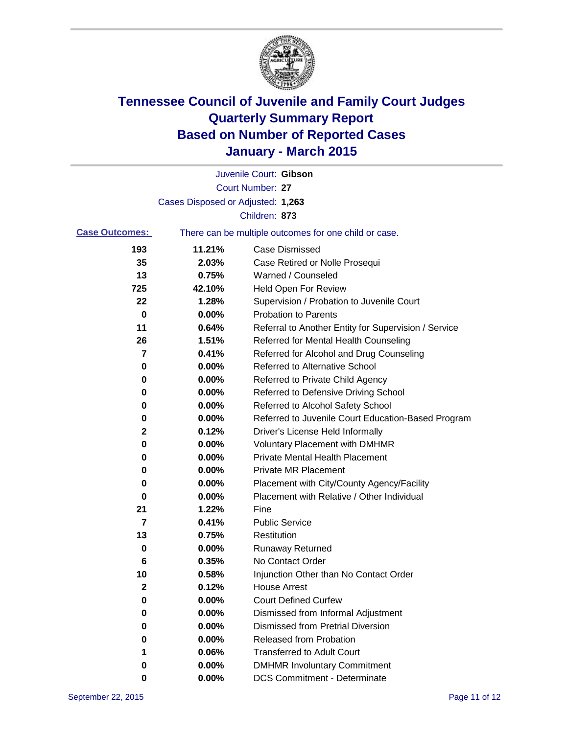

|                       |                                   | Juvenile Court: Gibson                                |
|-----------------------|-----------------------------------|-------------------------------------------------------|
|                       |                                   | Court Number: 27                                      |
|                       | Cases Disposed or Adjusted: 1,263 |                                                       |
|                       |                                   | Children: 873                                         |
| <b>Case Outcomes:</b> |                                   | There can be multiple outcomes for one child or case. |
| 193                   | 11.21%                            | <b>Case Dismissed</b>                                 |
| 35                    | 2.03%                             | Case Retired or Nolle Prosequi                        |
| 13                    | 0.75%                             | Warned / Counseled                                    |
| 725                   | 42.10%                            | <b>Held Open For Review</b>                           |
| 22                    | 1.28%                             | Supervision / Probation to Juvenile Court             |
| 0                     | 0.00%                             | <b>Probation to Parents</b>                           |
| 11                    | 0.64%                             | Referral to Another Entity for Supervision / Service  |
| 26                    | 1.51%                             | Referred for Mental Health Counseling                 |
| 7                     | 0.41%                             | Referred for Alcohol and Drug Counseling              |
| 0                     | 0.00%                             | <b>Referred to Alternative School</b>                 |
| 0                     | 0.00%                             | Referred to Private Child Agency                      |
| 0                     | 0.00%                             | Referred to Defensive Driving School                  |
| 0                     | 0.00%                             | Referred to Alcohol Safety School                     |
| 0                     | 0.00%                             | Referred to Juvenile Court Education-Based Program    |
| 2                     | 0.12%                             | Driver's License Held Informally                      |
| 0                     | 0.00%                             | <b>Voluntary Placement with DMHMR</b>                 |
| 0                     | 0.00%                             | <b>Private Mental Health Placement</b>                |
| 0                     | 0.00%                             | <b>Private MR Placement</b>                           |
| 0                     | 0.00%                             | Placement with City/County Agency/Facility            |
| 0                     | 0.00%                             | Placement with Relative / Other Individual            |
| 21                    | 1.22%                             | Fine                                                  |
| 7                     | 0.41%                             | <b>Public Service</b>                                 |
| 13                    | 0.75%                             | Restitution                                           |
| 0                     | 0.00%                             | <b>Runaway Returned</b>                               |
| 6                     | 0.35%                             | No Contact Order                                      |
| 10                    | 0.58%                             | Injunction Other than No Contact Order                |
| 2                     | 0.12%                             | House Arrest                                          |
| 0                     | $0.00\%$                          | <b>Court Defined Curfew</b>                           |
| 0                     | 0.00%                             | Dismissed from Informal Adjustment                    |
| 0                     | 0.00%                             | <b>Dismissed from Pretrial Diversion</b>              |
| 0                     | 0.00%                             | Released from Probation                               |
|                       | 0.06%                             | <b>Transferred to Adult Court</b>                     |
| 0                     | 0.00%                             | <b>DMHMR Involuntary Commitment</b>                   |
| 0                     | 0.00%                             | <b>DCS Commitment - Determinate</b>                   |